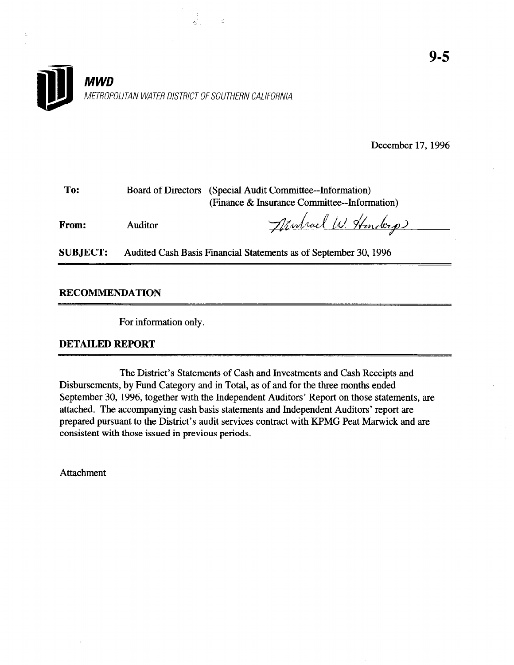December 17,1996

| To:   |                | Board of Directors (Special Audit Committee-Information) |  |  |
|-------|----------------|----------------------------------------------------------|--|--|
|       |                | (Finance & Insurance Committee--Information)             |  |  |
| From: | <b>Auditor</b> | Newhael W. Handerp                                       |  |  |
|       |                |                                                          |  |  |

SUBJECT: Audited Cash Basis Financial Statements as of September 30,1996

RECOMMENDATION

For information only.

### DETAILED REPORT

The District's Statements of Cash and Investments and Cash Receipts and Disbursements, by Fund Category and in Total, as of and for the three months ended September 30, 1996, together with the Independent Auditors' Report on those statements, are attached. The accompanying cash basis statements and Independent Auditors' report are prepared pursuant to the District's audit services contract with KPMG Peat Marwick and are consistent with those issued in previous periods.

Attachment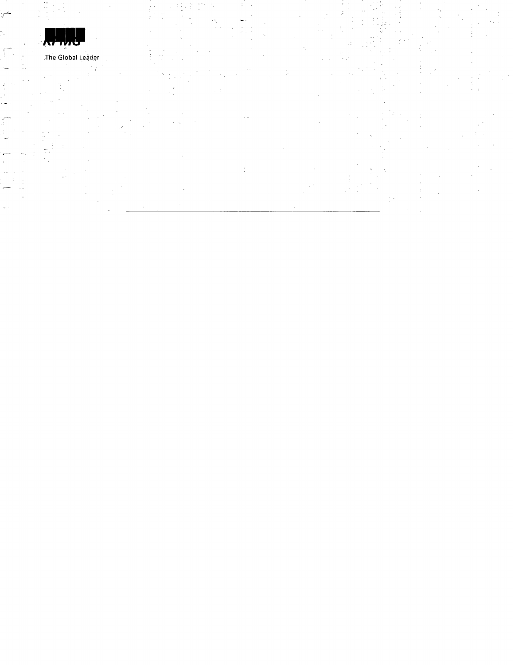

 $\mathfrak{g}$ 

>--.

 $\mathbf{J}$ --

.-

The Global Leader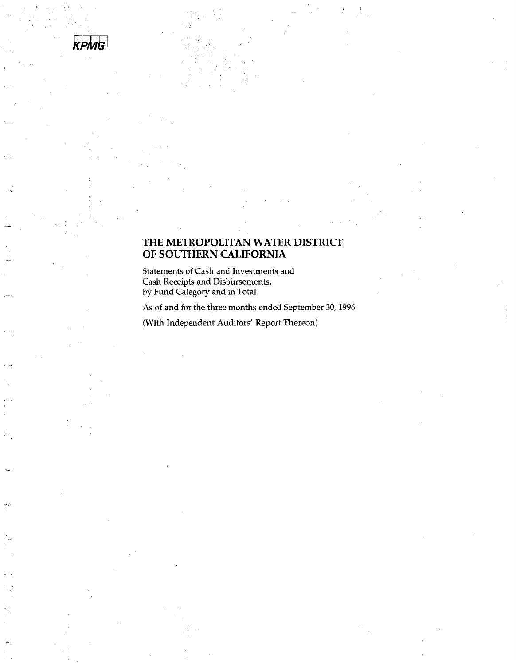

والهبش

## THE METROPOLITAN WATER DISTRICT OF SOUTHERN CALIFORNIA

Statements of Cash and Investments and Cash Receipts and Disbursements, by Fund Category and in Total

As of and for the three months ended September 30,1996

(With Independent Auditors' Report Thereon)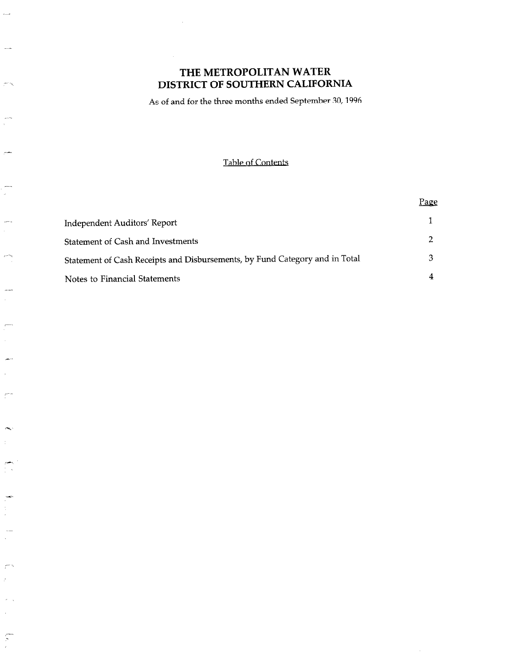$\overline{\phantom{a}}$ 

بالمسر

 $\sim$   $\sim$ 

 $\mathcal{C}$ 

 $\bar{\nu}$  $\bar{z}$ 

 $\subsetneq$ 

As of and for the three months ended September 30,1996

## Table of Contents

|                                                                             | Page |
|-----------------------------------------------------------------------------|------|
| Independent Auditors' Report                                                |      |
| <b>Statement of Cash and Investments</b>                                    |      |
| Statement of Cash Receipts and Disbursements, by Fund Category and in Total |      |
| Notes to Financial Statements                                               |      |

 $\mathcal{A}^{\mathcal{A}}$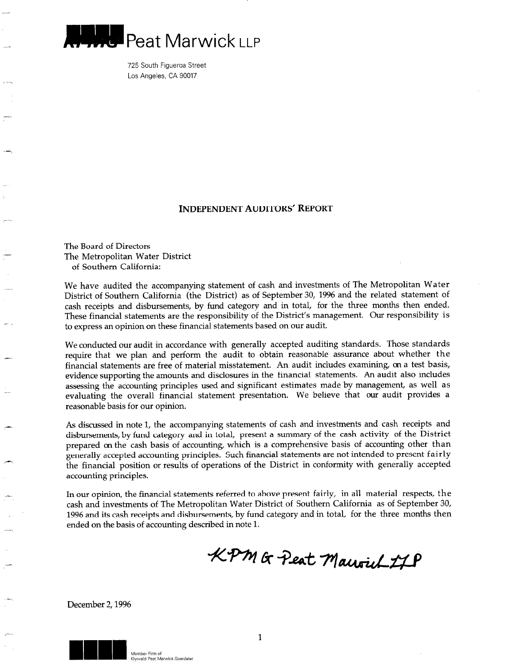

725 South Figueroa Street Los Angeles, CA 90017

### INDEPENDENT AUDITORS' REPORT

The Board of Directors The Metropolitan Water District of Southern California:

-

We have audited the accompanying statement of cash and investments of The Metropolitan Water District of Southern California (the District) as of September 30, 1996 and the related statement of cash receipts and disbursements, by fund category and in total, for the three months then ended. These financial statements are the responsibility of the District's management. Our responsibility is to express an opinion on these financial statements based on our audit.

We conducted our audit in accordance with generally accepted auditing standards. Those standards require that we plan and perform the audit to obtain reasonable assurance about whether the financial statements are free of material misstatement. An audit includes examining, on a test basis, evidence supporting the amounts and disclosures in the financial statements. An audit also includes assessing the accounting principles used and significant estimates made by management, as well as evaluating the overall financial statement presentation. We believe that our audit provides a reasonable basis for our opinion.

As discussed in note 1, the accompanying statements of cash and investments and cash receipts and disbursements, by fund category and in total, present a summary of the cash activity of the District prepared on the cash basis of accounting, which is a comprehensive basis of accounting other than generally accepted accounting principles. Such financial statements are not intended to present fairly the financial position or results of operations of the District in conformity with generally accepted accounting principles.

In our opinion, the financial statements referred to above present fairly, in all material respects, the cash and investments of The Metropolitan Water District of Southern California as of September 30, 1996 and its cash receipts and disbursements, by fund category and in total, for the three months then ended on the basis of accounting described in note 1.

KPM & Peat Maurich 17P

December 2,1996

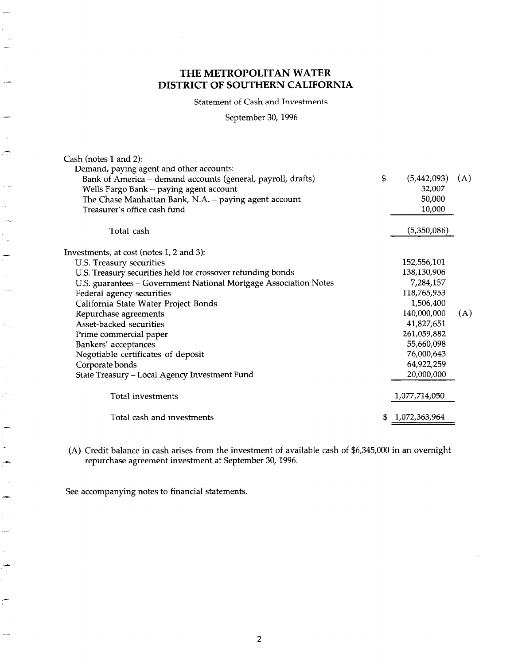Statement of Cash and Investments

September 30,1996

| Cash (notes 1 and 2):                                            |                     |     |
|------------------------------------------------------------------|---------------------|-----|
| Demand, paying agent and other accounts:                         |                     |     |
| Bank of America - demand accounts (general, payroll, drafts)     | \$<br>(5,442,093)   | (A) |
| Wells Fargo Bank - paying agent account                          | 32,007              |     |
| The Chase Manhattan Bank, N.A. - paying agent account            | 50,000              |     |
| Treasurer's office cash fund                                     | 10,000              |     |
| Total cash                                                       | (5,350,086)         |     |
| Investments, at cost (notes 1, 2 and 3):                         |                     |     |
| U.S. Treasury securities                                         | 152,556,101         |     |
| U.S. Treasury securities held for crossover refunding bonds      | 138,130,906         |     |
| U.S. guarantees - Government National Mortgage Association Notes | 7,284,157           |     |
| Federal agency securities                                        | 118,765,953         |     |
| California State Water Project Bonds                             | 1,506,400           |     |
| Repurchase agreements                                            | 140,000,000         | (A) |
| Asset-backed securities                                          | 41,827,651          |     |
| Prime commercial paper                                           | 261,059,882         |     |
| Bankers' acceptances                                             | 55,660,098          |     |
| Negotiable certificates of deposit                               | 76,000,643          |     |
| Corporate bonds                                                  | 64,922,259          |     |
| State Treasury - Local Agency Investment Fund                    | 20,000,000          |     |
| Total investments                                                | 1,077,714,050       |     |
| Total cash and investments                                       | \$<br>1,072,363,964 |     |
|                                                                  |                     |     |

(A) Credit balance in cash arises from the investment of available cash of \$6,345,000 in an overnight repurchase agreement investment at September 30,1996.

See accompanying notes to financial statements.

فترد

 $\sim$ 

zi y

 $\ddot{\phantom{a}}$ 

 $\overline{a}$ 

 $\overline{a}$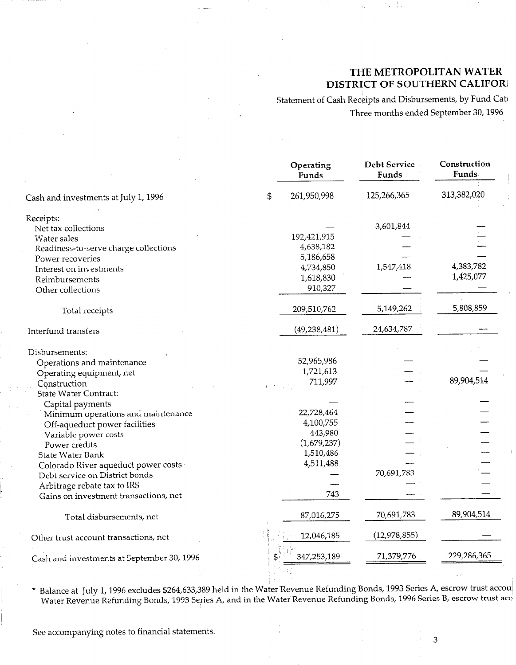Statement of Cash Receipts and Disbursements, by Fund Cate Three months ended September 30,1996  $\hat{\mathcal{A}}$ 

| Operating<br>Funds | <b>Debt Service</b><br>Funds                                                                                                   | Construction<br>Funds                |
|--------------------|--------------------------------------------------------------------------------------------------------------------------------|--------------------------------------|
| \$<br>261,950,998  | 125,266,365                                                                                                                    | 313,382,020                          |
|                    |                                                                                                                                |                                      |
|                    |                                                                                                                                |                                      |
|                    |                                                                                                                                |                                      |
|                    |                                                                                                                                |                                      |
|                    |                                                                                                                                |                                      |
|                    |                                                                                                                                | 4,383,782                            |
|                    |                                                                                                                                | 1,425,077                            |
|                    |                                                                                                                                |                                      |
| 209,510,762        | 5,149,262                                                                                                                      | 5,808,859                            |
| (49, 238, 481)     | 24,634,787                                                                                                                     |                                      |
|                    |                                                                                                                                |                                      |
|                    |                                                                                                                                |                                      |
|                    |                                                                                                                                |                                      |
|                    |                                                                                                                                | 89,904,514                           |
|                    |                                                                                                                                |                                      |
|                    |                                                                                                                                |                                      |
|                    |                                                                                                                                |                                      |
| 4,100,755          |                                                                                                                                |                                      |
| 443,980            |                                                                                                                                |                                      |
| (1,679,237)        |                                                                                                                                |                                      |
| 1,510,486          |                                                                                                                                |                                      |
| 4,511,488          |                                                                                                                                |                                      |
|                    |                                                                                                                                |                                      |
|                    |                                                                                                                                |                                      |
| 743                |                                                                                                                                |                                      |
| 87,016,275         | 70,691,783                                                                                                                     | 89,904,514                           |
| 12,046,185         | (12, 978, 855)                                                                                                                 |                                      |
| 347,253,189        | 71,379,776                                                                                                                     | 229,286,365                          |
|                    | 192,421,915<br>4,638,182<br>5,186,658<br>4,734,850<br>1,618,830<br>910,327<br>52,965,986<br>1,721,613<br>711,997<br>22,728,464 | 3,601,844<br>1,547,418<br>70,691,783 |

\* Balance at July 1,1996 excludes \$264,633,389 held in the Water'Revenue Refunding Bonds, 1993 Series A, escrow trust accou Water Revenue Refunding Bonds, 1993 Series A, and in the Water Revenue Refunding Bonds, 1996 Series B, escrow trust acc

See accompanying notes to financial statements.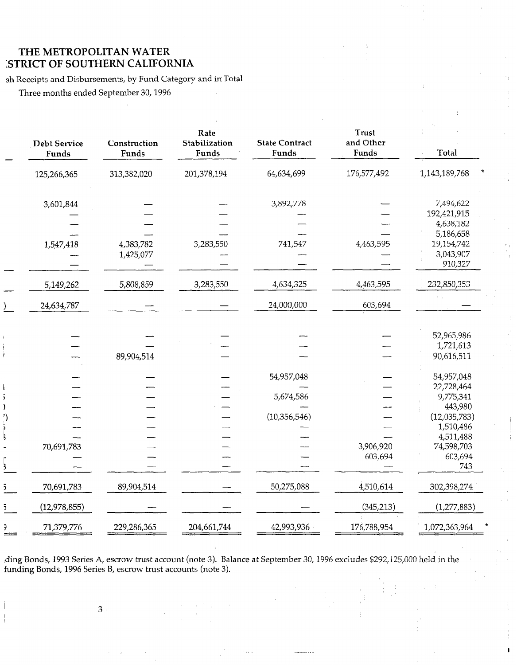sh Receipts and Disbursements, by Fund Category and in Total

Three months ended September 30,1996

|              | <b>Debt Service</b><br>Funds | Construction<br>Funds | Rate<br>Stabilization<br>Funds | <b>State Contract</b><br>Funds | <b>Trust</b><br>and Other<br>Funds | Total                        |
|--------------|------------------------------|-----------------------|--------------------------------|--------------------------------|------------------------------------|------------------------------|
|              | 125,266,365                  | 313,382,020           | 201,378,194                    | 64,634,699                     | 176,577,492                        | 1,143,189,768                |
|              | 3,601,844                    |                       |                                | 3,892,778                      |                                    | 7,494,622                    |
|              |                              |                       |                                |                                |                                    | 192,421,915<br>4,638,182     |
|              | 1,547,418                    | 4,383,782             | 3,283,550                      | 741,547                        | 4,463,595                          | 5,186,658<br>19,154,742      |
|              |                              | 1,425,077             |                                |                                |                                    | 3,043,907<br>910,327         |
|              | 5,149,262                    | 5,808,859             | 3,283,550                      | 4,634,325                      | 4,463,595                          | 232,850,353                  |
|              | 24,634,787                   |                       |                                | 24,000,000                     | 603,694                            |                              |
|              |                              |                       |                                |                                |                                    | 52,965,986                   |
|              |                              |                       |                                |                                |                                    | 1,721,613                    |
|              |                              | 89,904,514            |                                |                                |                                    | 90,616,511                   |
|              |                              |                       |                                | 54,957,048                     |                                    | 54,957,048                   |
|              |                              |                       |                                | 5,674,586                      |                                    | 22,728,464<br>9,775,341      |
|              |                              |                       |                                | (10, 356, 546)                 |                                    | 443,980<br>(12,035,783)      |
|              |                              |                       |                                |                                |                                    | 1,510,486<br>4,511,488       |
|              | 70,691,783                   |                       |                                |                                | 3,906,920<br>603,694               | 74,598,703<br>603,694<br>743 |
| $\mathbf{z}$ | 70,691,783                   | 89,904,514            |                                | 50,275,088                     | 4,510,614                          | 302,398,274                  |
| $\bar{5}$    | (12,978,855)                 |                       |                                |                                | (345, 213)                         | (1,277,883)                  |
| €            | 71,379,776                   | 229,286,365           | 204,661,744                    | 42,993,936                     | 176,788,954                        | 1,072,363,964                |

ding Bonds, 1993 Series A, escrow trust account (note 3). Balance at September 30, 1996 excludes \$292,125,000 held in the funding Bonds, 1996 Series B, escrow trust accounts (note 3).

I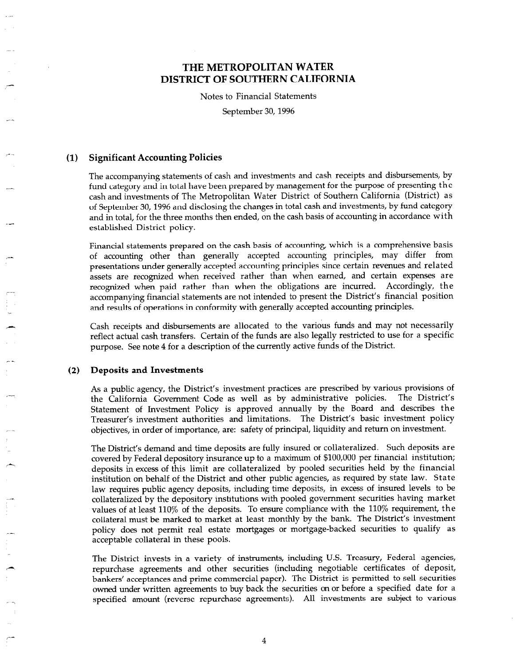Notes to Financial Statements

September 30,1996

### (1) Significant Accounting Policies

-.

\_--

i-

The accompanying statements of cash and investments and cash receipts and disbursements, by fund category and in total have been prepared by management for the purpose of presenting the cash and investments of The Metropolitan Water District of Southern California (District) as of September 30,1996 and disclosing the changes in total cash and investments, by fund category and in total, for the three months then ended, on the cash basis of accounting in accordance with established District policy.

Financial statements prepared on the cash basis of accounting, which is a comprehensive basis of accounting other than generally accepted accounting principles, may differ from presentations under generally accepted accounting principles since certain revenues and related assets are recognized when received rather than when earned, and certain expenses are recognized when paid rather than when the obligations are incurred. Accordingly, the accompanying financial statements are not intended to present the District's financial position and results of operations in conformity with generally accepted accounting principles.

Cash receipts and disbursements are allocated to the various funds and may not necessarily reflect actual cash transfers. Certain of the funds are also legally restricted to use for a specific purpose. See note 4 for a description of the currently active funds of the District.

### (2) Deposits and Investments

As a public agency, the District's investment practices are prescribed by various provisions of the California Government Code as well as by administrative policies. The District's Statement of Investment Policy is approved annually by the Board and describes the Treasurer's investment authorities and limitations. The District's basic investment policy objectives, in order of importance, are: safety of principal, liquidity and return on investment.

The District's demand and time deposits are fully insured or collateralized. Such deposits are covered by Federal depository insurance up to a maximum of \$100,000 per financial institution; deposits in excess of this limit are collateralized by pooled securities held by the financial institution on behalf of the District and other public agencies, as required by state law. State law requires public agency deposits, including time deposits, in excess of insured levels to be collateralized by the depository institutions with pooled government securities having market values of at least 110% of the deposits. To ensure compliance with the 110% requirement, the collateral must be marked to market at least monthly by the bank. The District's investment policy does not permit real estate mortgages or mortgage-backed securities to qualify as acceptable collateral in these pools.

The District invests in a variety of instruments, including U.S. Treasury, Federal agencies, repurchase agreements and other securities (including negotiable certificates of deposit, bankers' acceptances and prime commercial paper). The District is permitted to sell securities owned under written agreements to buy back the securities on or before a specified date for a specified amount (reverse repurchase agreements). All investments are subject to various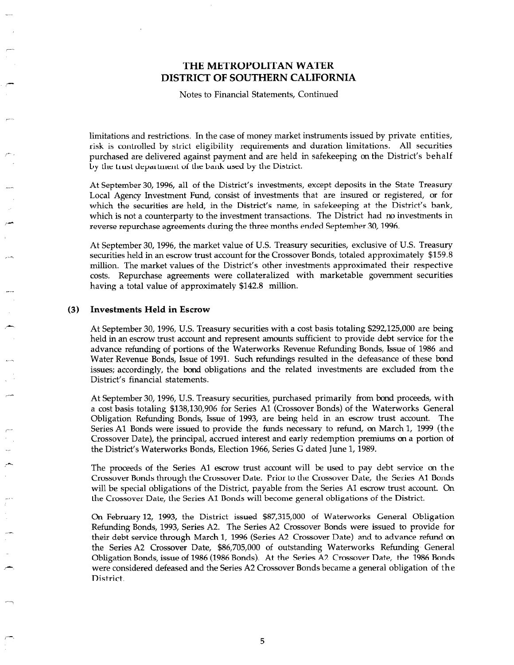Notes to Financial Statements, Continued

limitations and restrictions. In the case of money market instruments issued by private entities, risk is controlled by strict eligibility requirements and duration limitations. All securities purchased are delivered against payment and are held in safekeeping on the District's behalf by the trust department of the bank used by the District.

At September 30, 1996, all of the District's investments, except deposits in the State Treasury Local Agency Investment Fund, consist of investments that are insured or registered, or for which the securities are held, in the District's name, in safekeeping at the District's bank, which is not a counterparty to the investment transactions. The District had no investments in reverse repurchase agreements during the three months ended September 30,1996.

At September 30,1996, the market value of U.S. Treasury securities, exclusive of U.S. Treasury securities held in an escrow trust account for the Crossover Bonds, totaled approximately \$159.8 million. The market values of the District's other investments approximated their respective costs. Repurchase agreements were collateralized with marketable government securities having a total value of approximately \$142.8 million.

#### (3) Investments Held in Escrow

r-m-

,-

i-

At September 30,1996, U.S. Treasury securities with a cost basis totaling \$292,125,000 are being held in an escrow trust account and represent amounts sufficient to provide debt service for the advance refunding of portions of the Waterworks Revenue Refunding Bonds, Issue of 1986 and Water Revenue Bonds, Issue of 1991. Such refundings resulted in the defeasance of these bond issues; accordingly, the bond obligations and the related investments are excluded from the District's financial statements.

At September 30,1996, U.S. Treasury securities, purchased primarily from bond proceeds, with a cost basis totaling \$138,130,906 for Series Al (Crossover Bonds) of the Waterworks General Obligation Refunding Bonds, Issue of 1993, are being held in an escrow trust account. The Series Al Bonds were issued to provide the funds necessary to refund, on March 1, 1999 (the Crossover Date), the principal, accrued interest and early redemption premiums on a portion of the District's Waterworks Bonds, Election 1966, Series G dated June 1, 1989.

The proceeds of the Series Al escrow trust account will be used to pay debt service on the Crossover Bonds through the Crossover Date. Prior to the Crossover Date, the Series Al Bonds will be special obligations of the District, payable from the Series Al escrow trust account. On the Crossover Date, the Series Al Bonds will become general obligations of the District.

On February 12, 1993, the District issued \$87,315,000 of Waterworks General Obligation Refunding Bonds, 1993, Series A2. The Series A2 Crossover Bonds were issued to provide for their debt service through March 1, 1996 (Series A2 Crossover Date) and to advance refund on the Series A2 Crossover Date, \$86,705,000 of outstanding Waterworks Refunding General Obligation Bonds, issue of 1986 (1986 Bonds). At the Series A2 Crossover Date, the 1986 Bonds were considered defeased and the Series A2 Crossover Bonds became a general obligation of the District.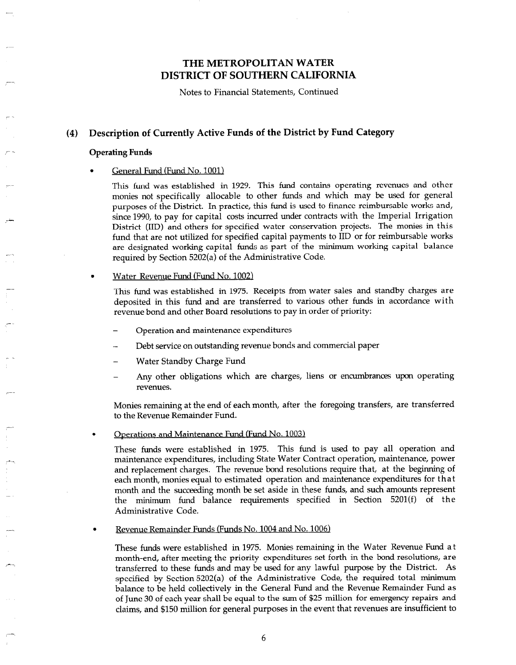Notes to Financial Statements, Continued

### (4) Description of Currently Active Funds of the District by Fund Category

#### Operating Funds

 $\overline{\phantom{a}}$ 

:

,--

#### . General Fund (Fund No. 1001)

This fund was established in 1929. This fund contains operating revenues and other monies not specifically allocable to other funds and which may be used for general purposes of the District. In practice, this fund is used to finance reimbursable works and, since 1990, to pay for capital costs incurred under contracts with the Imperial Irrigation District (IID) and others for specified water conservation projects. The monies in this fund that are not utilized for specified capital payments to IID or for reimbursable works are designated working capital funds as part of the minimum working capital balance required by Section 5202(a) of the Administrative Code.

#### . Water Revenue Fund (Fund No. 1002)

This fund was established in 1975. Receipts from water sales and standby charges are deposited in this fund and are transferred to various other funds in accordance with revenue bond and other Board resolutions to pay in order of priority:

- Operation and maintenance expenditures
- Debt service on outstanding revenue bonds and commercial paper
- Water Standby Charge Fund
- Any other obligations which are charges, liens or encumbrances upon operating revenues.

Monies remaining at the end of each month, after the foregoing transfers, are transferred to the Revenue Remainder Fund.

#### Operations and Maintenance Fund (Fund No. 1003)

These funds were established in 1975. This fund is used to pay all operation and maintenance expenditures, including State Water Contract operation, maintenance, power and replacement charges. The revenue bond resolutions require that, at the beginning of each month, monies equal to estimated operation and maintenance expenditures for that month and the succeeding month be set aside in these funds, and such amounts represent the minimum fund balance requirements specified in Section 5201(f) of the Administrative Code.

. Revenue Remainder Funds (Funds No. 1004 and No. 1006)

These funds were established in 1975. Monies remaining in the Water Revenue Fund at month-end, after meeting the priority expenditures set forth in the bond resolutions, are transferred to these funds and may be used for any lawful purpose by the District. As specified by Section 5202(a) of the Administrative Code, the required total minimum balance to be held collectively in the General Fund and the Revenue Remainder Fund as of June 30 of each year shall be equal to the sum of \$25 million for emergency repairs and claims, and \$150 million for general purposes in the event that revenues are insufficient to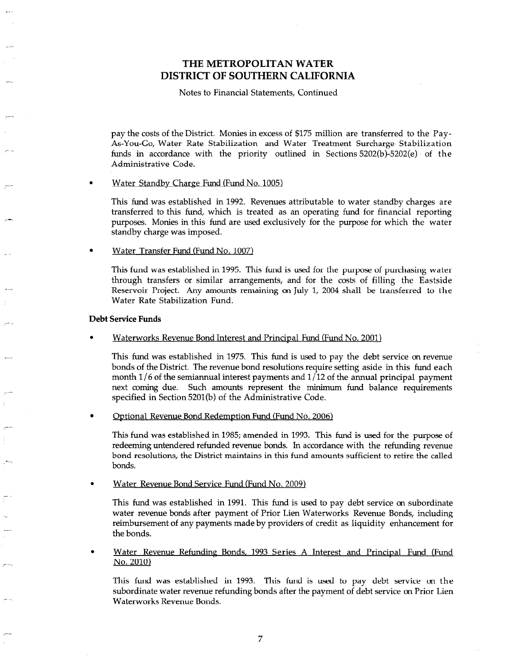Notes to Financial Statements, Continued

pay the costs of the District. Monies in excess of \$175 million are transferred to the Pay-As-You-Go, Water Rate Stabilization and Water Treatment Surcharge Stabilization funds in accordance with the priority outlined in Sections 5202(b)-5202(e) of the Administrative Code.

#### Water Standby Charge Fund (Fund No. 1005)

This fund was established in 1992. Revenues attributable to water standby charges are transferred to this fund, which is treated as an operating fund for financial reporting purposes. Monies in this fund are used exclusively for the purpose for which the water standby charge was imposed.

. Water Transfer Fund (Fund No. 1007)

This fund was established in 1995. This fund is used for the purpose of purchasing water through transfers or similar arrangements, and for the costs of filling the Eastside Reservoir Project. Any amounts remaining on July 1, 2004 shall be transferred to the Water Rate Stabilization Fund.

#### Debt Service Funds

Waterworks Revenue Bond Interest and Principal Fund (Fund No. 2001)

This fund was established in 1975. This fund is used to pay the debt service on revenue bonds of the District. The revenue bond resolutions require setting aside in this fund each month 1/6 of the semiannual interest payments and  $1/12$  of the annual principal payment next coming due. Such amounts represent the minimum fund balance requirements specified in Section 5201(b) of the Administrative Code.

Ontional Revenue Bond Redemntion Fund (Fund No. 2006)

This fund was established in 1985; amended in 1993. This fund is used for the purpose of redeeming untendered refunded revenue bonds. In accordance with the refunding revenue bond resolutions, the District maintains in this fund amounts sufficient to retire the called bonds.

Water Revenue Bond Service Fund (Fund No. 2009)

This fund was established in 1991. This fund is used to pay debt service on subordinate water revenue bonds after payment of Prior Lien Waterworks Revenue Bonds, including reimbursement of any payments made by providers of credit as liquidity enhancement for the bonds.

Water Revenue Refunding Bonds, 1993 Series A Interest and Principal Fund (Fund No. 2010)

This fund was established in 1993. This fund is used to pay debt service on the subordinate water revenue refunding bonds after the payment of debt service on Prior Lien Waterworks Revenue Bonds.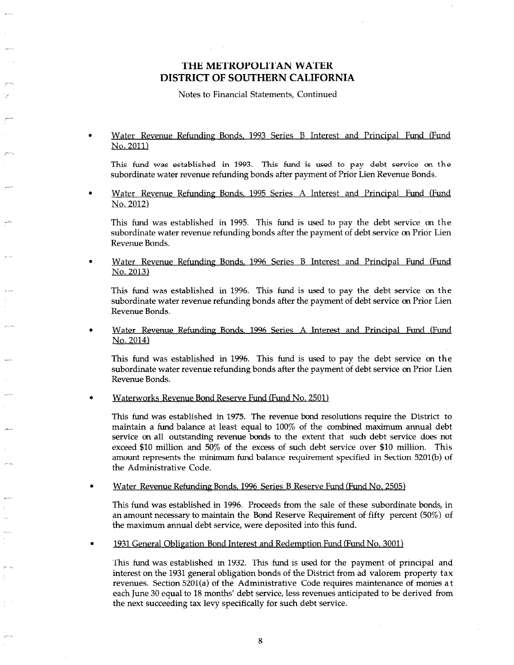Notes to Financial Statements, Continued

### Water Revenue Refunding Bonds, 1993 Series B Interest and Principal Fund (Fund No. 2011)

This fund was established in 1993. This fund is used to pay debt service on the subordinate water revenue refunding bonds after payment of Prior Lien Revenue Bonds.

Water Revenue Refunding Bonds, 1995 Series A Interest and Principal Fund (Fund No. 2012)

This fund was established in 1995. This fund is used to pay the debt service on the subordinate water revenue refunding bonds after the payment of debt service on Prior Lien Revenue Bonds.

Water Revenue Refunding Bonds, 1996 Series B Interest and Principal Fund (Fund No. 2013)

This fund was established in 1996. This fund is used to pay the debt service on the subordinate water revenue refunding bonds after the payment of debt service on Prior Lien Revenue Bonds.

Water Revenue Refunding Bonds, 1996 Series A Interest and Principal Fund (Fund No. 2014)

This fund was established in 1996. This fund is used to pay the debt service on the subordinate water revenue refunding bonds after the payment of debt service on Prior Lien Revenue Bonds.

. Waterworks Revenue Bond Reserve Fund (Fund No. 2501)

This fund was established in 1975. The revenue bond resolutions require the District to maintain a fund balance at least equal to 100% of the combined maximum annual debt service on all outstanding revenue bonds to the extent that such debt service does not exceed \$10 million and 50% of the excess of such debt service over \$10 million. This amount represents the minimum fund balance requirement specified in Section 5201(b) of the Administrative Code.

Water Revenue Refunding Bonds, 1996 Series B Reserve Fund (Fund No. 2505)

This fund was established in 1996. Proceeds from the sale of these subordinate bonds, in an amount necessary to maintain the Bond Reserve Requirement of fifty percent (50%) of the maximum annual debt service, were deposited into this fund.

1931 General Obligation Bond Interest and Redemption Fund (Fund No. 3001)

This fund was established in 1932. This fund is used for the payment of principal and interest on the 1932. This rule is used for the payment of principal and interest revenues of the 1991 general obligation bonds of the District from ad-valorem property tax revenues. Section 5201(a) of the Administrative Code requires maintenance of monies at each June 30 equal to 18 months' debt service, less revenues anticipated to be derived from the next succeeding tax levy specifically for such debt service.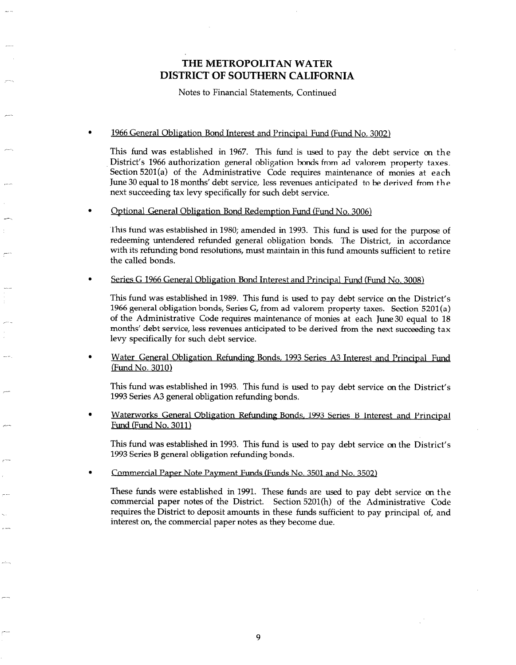Notes to Financial Statements, Continued

#### 1966 General Obligation Bond Interest and Principal Fund (Fund No. 3002)

This fund was established in 1967. This fund is used to pay the debt service on the District's 1966 authorization general obligation bonds from ad valorem property taxes. Section 5201(a) of the Administrative Code requires maintenance of monies at each June 30 equal to 18 months' debt service, less revenues anticipated to be derived from the next succeeding tax levy specifically for such debt service.

#### . Ontional General Oblieation Bond Redemotion Fund (Fund No. 3006)

This fund was established in 1980; amended in 1993. This fund is used for the purpose of redeeming untendered refunded general obligation bonds. The District, in accordance with its refunding bond resolutions, must maintain in this fund amounts sufficient to retire the called bonds.

### Series G 1966 General Obligation Bond Interest and Principal Fund (Fund No. 3008)

This fund was established in 1989. This fund is used to pay debt service on the District's 1966 general obligation bonds, Series G, from ad valorem property taxes. Section'5201(a) of the Administrative Code requires maintenance of monies at each June 30 equal to 18 months' debt service, less revenues anticipated to be derived from the next succeeding tax levy specifically for such debt service.

. Water General Obligation Refunding Bonds, 1993 Series A3 Interest and Princioal Fund (Fund No. 3010)

This fund was established in 1993. This fund is used to pay debt service on the District's 1993 Series A3 general obligation refunding bonds.

Waterworks General Obligation Refunding Bonds, 1993 Series B Interest and Principal Fund (Fund No. 3011)

This fund was established in 1993. This fund is used to pay debt service on the District's 1993 Series B general obligation refunding bonds.

. Commercial Paoer Note Pavment Funds (Funds No. 3501 and No. 3502)

i---

These funds were established in 1991. These funds are used to pay debt service on the commercial paper notes of the District. Section 5201(h) of the Administrative Code requires the District to deposit amounts in these funds sufficient to pay principal of, and interest on, the commercial paper notes as they become due.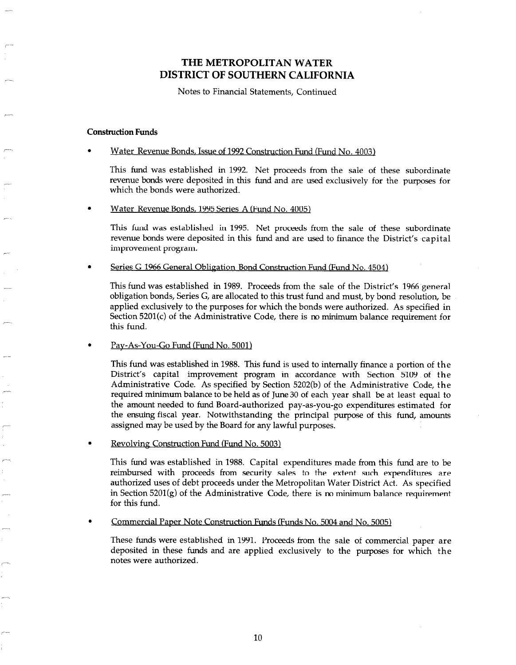Notes to Financial Statements, Continued

#### Construction Funds

#### Water Revenue Bonds, Issue of 1992 Construction Fund (Fund No. 4003)

This fund was established in 1992. Net proceeds from the sale of these subordinate revenue bonds were deposited in this fund and are used exclusively for the purposes for which the bonds were authorized.

#### Water Revenue Bonds. 1995 Series A (Fund No. 4005)

This fund was established in 1995. Net proceeds from the sale of these subordinate revenue bonds were deposited in this fund and are used to finance the District's capital improvement program.

Series G 1966 General Obligation Bond Construction Fund (Fund No. 4504)

This fund was established in 1989. Proceeds from the sale of the District's 1966 general obligation bonds, Series G, are allocated to this trust fund and must, by bond resolution, be applied exclusively to the purposes for which the bonds were authorized. As specified in Section 5201(c) of the Administrative Code, there is no minimum balance requirement for this fund.

### Pay-As-You-Go Fund (Fund No. 5001)

This fund was established in 1988. This fund is used to internally finance a portion of the District's capital improvement program in accordance with Section 5109 of the Administrative Code. As specified by Section 5202(b) of the Administrative Code, the required minimum balance to be held as of June 30 of each year shall be at least equal to the amount needed to fund Board-authorized pay-as-you-go expenditures estimated for the ensuing fiscal year. Notwithstanding the principal purpose of this fund, amounts assigned may be used by the Board for any lawful purposes.

Revolving Construction Fund (Fund No. 5003)

This fund was established in 1988. Capital expenditures made from this fund are to be reimbursed with proceeds from security sales to the extent such expenditures are authorized uses of debt proceeds under the Metropolitan Water District Act. As specified in Section  $5201(g)$  of the Administrative Code, there is no minimum balance requirement for this fund.

Commercial Paper Note Construction Funds (Funds No. 5004 and No. 5005)

These funds were established in 1991. Proceeds from the sale of commercial paper are deposited in these funds and are applied exclusively to the purposes for which the notes were authorized.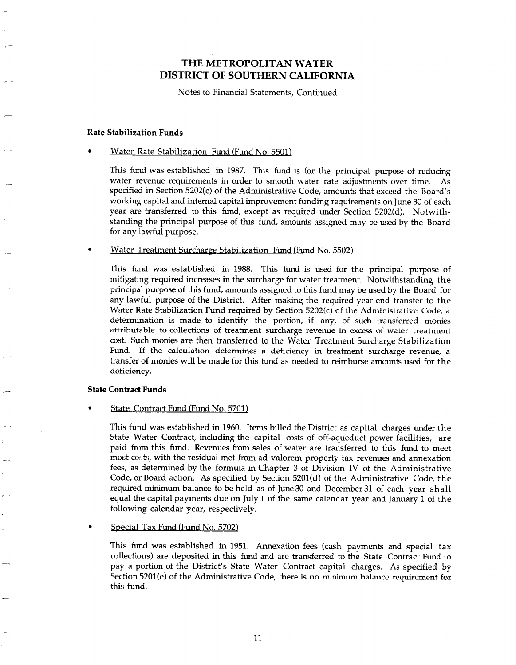Notes to Financial Statements, Continued

#### Rate Stabilization Funds

--

--

### . Water Rate Stabilization Fund (Fund No. 5501)

This fund was established in 1987. This fund is for the principal purpose of reducing water revenue requirements in order to smooth water rate adjustments over time. As specified in Section 5202(c) of the Administrative Code, amounts that exceed the Board's working capital and internal capital improvement funding requirements on June 30 of each year are transferred to this fund, except as required under Section 5202(d). Notwithstanding the principal purpose of this fund, amounts assigned may be used by the Board for any lawful purpose.

#### Water Treatment Surcharge Stabilization Fund (Fund No. 5502)

This fund was established in 1988. This fund is used for the principal purpose of mitigating required increases in the surcharge for water treatment. Notwithstanding the principal purpose of this fund, amounts assigned to this fund may be used by the Board for any lawful purpose of the District. After making the required year-end transfer to the Water Rate Stabilization Fund required by Section  $5202(c)$  of the Administrative Code, a determination is made to identify the portion, if any, of such transferred monies attributable to collections of treatment surcharge revenue in excess of water treatment cost. Such monies are then transferred to the Water Treatment Surcharge Stabilization Fund. If the calculation determines a deficiency in treatment surcharge revenue, a transfer of monies will be made for this fund as needed to reimburse amounts used for the deficiency.

#### State Contract Funds

#### State Contract Fund (Fund No. 5701)

This fund was established in 1960. Items billed the District as capital charges under the State Water Contract, including the capital costs of off-aqueduct power facilities, are paid from this fund. Revenues from sales of water are transferred to this fund to meet most costs, with the residual met from ad valorem property tax revenues and annexation fees, as determined by the formula in Chapter 3 of Division IV of the Administrative Code, or Board action. As specified by Section 5201(d) of the Administrative Code, the required minimum balance to be held as of June 30 and December 31 of each year shall equal the capital payments due on July 1 of the same calendar year and January 1 of the following calendar year, respectively.

#### Special Tax Fund (Fund No. 5702)

This fund was established in 1951. Annexation fees (cash payments and special tax collections) are deposited in this fund and are transferred to the State Contract Fund to pay a portion of the District's State Water Contract capital charges. As specified by Section 5201(e) of the Administrative Code, there is no minimum balance requirement for this fund.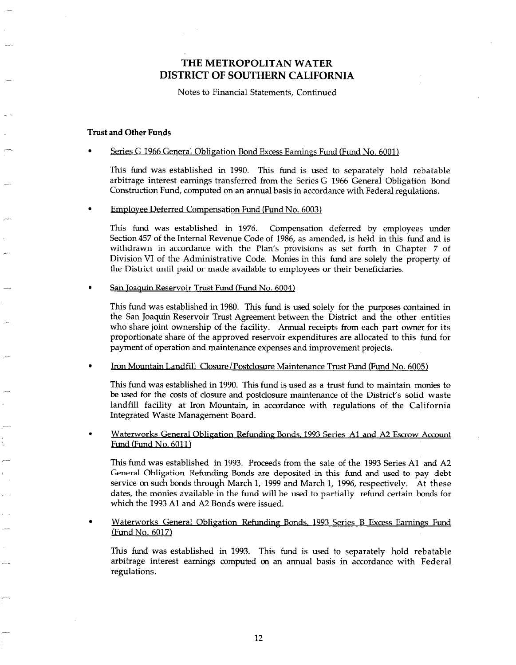Notes to Financial Statements, Continued

#### Trust and Other Funds

-.

### Series G 1966 General Obligation Bond Excess Earnings Fund (Fund No. 6001)

This fund was established in 1990. This fund is used to separately hold rebatable arbitrage interest earnings transferred from the Series G 1966 General Obligation Bond Construction Fund, computed on an annual basis in accordance with Federal regulations.

#### Employee Deferred Compensation Fund (Fund No. 6003)

This fund was established in 1976. Compensation deferred by employees under Section 457 of the Internal Revenue Code of 1986, as amended, is held in this fund and is withdrawn in accordance with the Plan's provisions as set forth in Chapter 7 of Division VI of the Administrative Code. Monies in this fund are solely the property of the District until paid or made available to employees or their beneficiaries.

San Toaquin Reservoir Trust Fund (Fund No. 6004)

This fund was established in 1980. This fund is used solely for the purposes contained in the San Joaquin Reservoir Trust Agreement between the District and the other entities who share joint ownership of the facility. Annual receipts from each part owner for its proportionate share of the approved reservoir expenditures are allocated to this fund for payment of operation and maintenance expenses and improvement projects.

Iron Mountain Landfill Closure/Postclosure Maintenance Trust Fund (Fund No. 6005)

This fund was established in 1990. This fund is used as a trust fund to maintain monies to be used for the costs of closure and postclosure maintenance of the District's solid waste landfill facility at Iron Mountain, in accordance with regulations of the California Integrated Waste Management Board.

Waterworks General Oblieation Refunding Bonds, 1993 Series Al and A2 Escrow Account Fund (Fund No. 6011)

This fund was established in 1993. Proceeds from the sale of the 1993 Series Al and A2 General Obligation Refunding Bonds are deposited in this fund and used to pay debt service on such bonds through March 1, 1999 and March 1, 1996, respectively. At these dates, the monies available in the fund will be used to partially refund certain bonds for which the 1993 Al and A2 Bonds were issued.

Waterworks General Obligation Refunding Bonds, 1993 Series B Excess Earnings Fund [Fund No. 6017)

This fund was established in 1993. This fund is used to separately hold rebatable arbitrage interest earnings computed on an annual basis in accordance with Federal regulations.